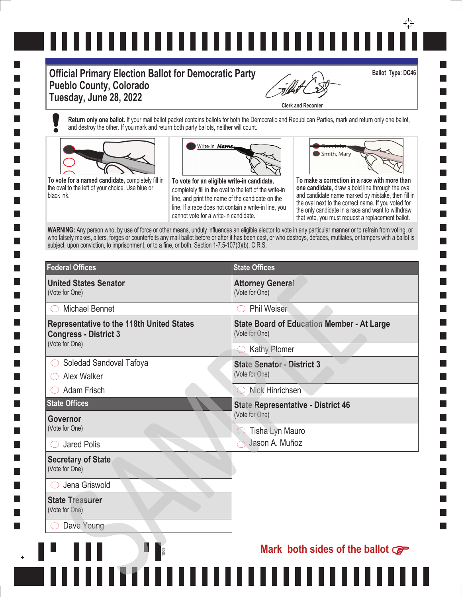# ↔

#### **Official Primary Election Ballot for Democratic Party Pueblo County, Colorado Tuesday, June 28, 2022**

**1009** 

**Clerk and Recorder**

**Return only one ballot.** If your mail ballot packet contains ballots for both the Democratic and Republican Parties, mark and return only one ballot, and destroy the other. If you mark and return both party ballots, neither will count.



**College** 

**The State** 

**To vote for a named candidate,** completely fill in the oval to the left of your choice. Use blue or black ink.



**To vote for an eligible write-in candidate,**  completely fill in the oval to the left of the write-in line, and print the name of the candidate on the line. If a race does not contain a write-in line, you cannot vote for a write-in candidate.



**Ballot Type: DC46**

**one candidate,** draw a bold line through the oval and candidate name marked by mistake, then fill in the oval next to the correct name. If you voted for the only candidate in a race and want to withdraw that vote, you must request a replacement ballot.

WARNING: Any person who, by use of force or other means, unduly influences an eligible elector to vote in any particular manner or to refrain from voting, or who falsely makes, alters, forges or counterfeits any mail ballot before or after it has been cast, or who destroys, defaces, mutilates, or tampers with a ballot is subject, upon conviction, to imprisonment, or to a fine, or both. Section 1-7.5-107(3)(b), C.R.S.

| <b>Federal Offices</b>                                                           | <b>State Offices</b>                                                |
|----------------------------------------------------------------------------------|---------------------------------------------------------------------|
| <b>United States Senator</b><br>(Vote for One)                                   | <b>Attorney General</b><br>(Vote for One)                           |
| <b>Michael Bennet</b>                                                            | Phil Weiser                                                         |
| <b>Representative to the 118th United States</b><br><b>Congress - District 3</b> | <b>State Board of Education Member - At Large</b><br>(Vote for One) |
| (Vote for One)                                                                   | Kathy Plomer                                                        |
| Soledad Sandoval Tafoya                                                          | <b>State Senator - District 3</b>                                   |
| Alex Walker                                                                      | (Vote for One)                                                      |
| Adam Frisch                                                                      | Nick Hinrichsen                                                     |
| <b>State Offices</b>                                                             | <b>State Representative - District 46</b>                           |
| Governor                                                                         | (Vote for One)                                                      |
| (Vote for One)                                                                   | Tisha Lyn Mauro                                                     |
| <b>Jared Polis</b>                                                               | Jason A. Muñoz                                                      |
| <b>Secretary of State</b><br>(Vote for One)                                      |                                                                     |
| Jena Griswold                                                                    |                                                                     |
| <b>State Treasurer</b><br>(Vote for One)                                         |                                                                     |
| Dave Young                                                                       |                                                                     |
|                                                                                  |                                                                     |

Ш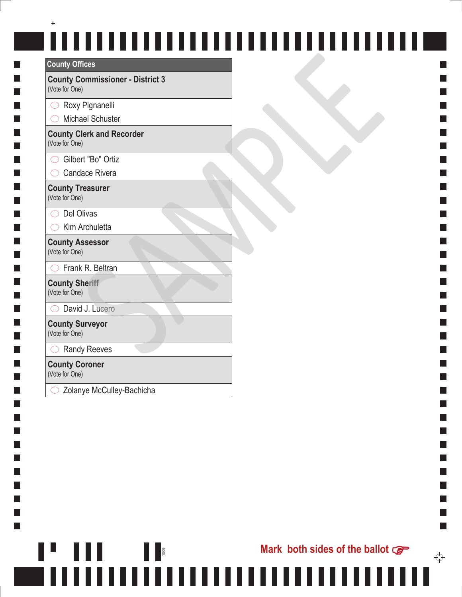| <b>County Offices</b>                                     |  |
|-----------------------------------------------------------|--|
| <b>County Commissioner - District 3</b><br>(Vote for One) |  |
| Roxy Pignanelli                                           |  |
| <b>Michael Schuster</b>                                   |  |
| <b>County Clerk and Recorder</b><br>(Vote for One)        |  |
| Gilbert "Bo" Ortiz                                        |  |
| Candace Rivera                                            |  |
| <b>County Treasurer</b><br>(Vote for One)                 |  |
| Del Olivas                                                |  |
| Kim Archuletta                                            |  |
| <b>County Assessor</b><br>(Vote for One)                  |  |
| Frank R. Beltran                                          |  |
| <b>County Sheriff</b><br>(Vote for One)                   |  |
| David J. Lucero                                           |  |
| <b>County Surveyor</b><br>(Vote for One)                  |  |
| <b>Randy Reeves</b>                                       |  |
| <b>County Coroner</b>                                     |  |

(Vote for One)

П

П

П  $\Box$ 

П  $\Box$  $\mathbf{I}$ 

 $\Box$ I.

П **Tale I** 

I.  $\mathcal{L}_{\mathcal{A}}$ H П  $\Box$  $\Box$ I. П  $\Box$ 

I.

 $\Box$ I.  $\Box$ 

Zolanye McCulley-Bachicha

П

1009

,,,,,,,,,,,,,,,,,,,,,,,,,,,,

 $\overleftrightarrow{\cdot}$ 

m.

**Contract**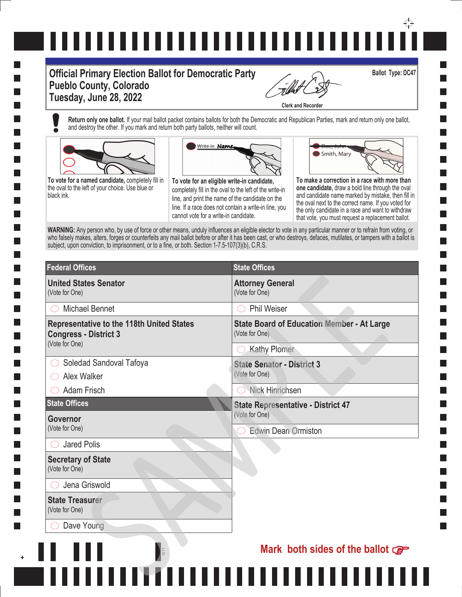# ,,,,,,,,,,,,,,,,,,,,,,,,,,,,,,,

#### **Official Primary Election Ballot for Democratic Party Pueblo County, Colorado Tuesday, June 28, 2022**

И

**Clerk and Recorder**

**Ballot Type: DC47**

**The State** 

**Return only one ballot.** If your mail ballot packet contains ballots for both the Democratic and Republican Parties, mark and return only one ballot, and destroy the other. If you mark and return both party ballots, neither will count.



**To vote for a named candidate,** completely fill in the oval to the left of your choice. Use blue or black ink.



**To vote for an eligible write-in candidate,**  completely fill in the oval to the left of the write-in line, and print the name of the candidate on the line. If a race does not contain a write-in line, you cannot vote for a write-in candidate.



**To make a correction in a race with more than one candidate,** draw a bold line through the oval and candidate name marked by mistake, then fill in the oval next to the correct name. If you voted for the only candidate in a race and want to withdraw that vote, you must request a replacement ballot.

WARNING: Any person who, by use of force or other means, unduly influences an eligible elector to vote in any particular manner or to refrain from voting, or who falsely makes, alters, forges or counterfeits any mail ballot before or after it has been cast, or who destroys, defaces, mutilates, or tampers with a ballot is subject, upon conviction, to imprisonment, or to a fine, or both. Section 1-7.5-107(3)(b), C.R.S.

| <b>Federal Offices</b>                                                                             | <b>State Offices</b>                                                |  |
|----------------------------------------------------------------------------------------------------|---------------------------------------------------------------------|--|
| <b>United States Senator</b><br>(Vote for One)                                                     | <b>Attorney General</b><br>(Vote for One)                           |  |
| <b>Michael Bennet</b>                                                                              | <b>Phil Weiser</b>                                                  |  |
| <b>Representative to the 118th United States</b><br><b>Congress - District 3</b><br>(Vote for One) | <b>State Board of Education Member - At Large</b><br>(Vote for One) |  |
|                                                                                                    | <b>Kathy Plomer</b>                                                 |  |
| Soledad Sandoval Tafoya<br>Alex Walker                                                             | <b>State Senator - District 3</b><br>(Vote for One)                 |  |
| <b>Adam Frisch</b>                                                                                 | Nick Hinrichsen                                                     |  |
| <b>State Offices</b>                                                                               | <b>State Representative - District 47</b>                           |  |
| Governor<br>(Vote for One)                                                                         | (Vote for One)                                                      |  |
|                                                                                                    | <b>Edwin Dean Ormiston</b>                                          |  |
| <b>Jared Polis</b>                                                                                 |                                                                     |  |
| <b>Secretary of State</b><br>(Vote for One)                                                        |                                                                     |  |
| Jena Griswold                                                                                      |                                                                     |  |
| <b>State Treasurer</b><br>(Vote for One)                                                           |                                                                     |  |
| Dave Young                                                                                         |                                                                     |  |
|                                                                                                    | Mark both sides of the ballot $\mathcal{F}$                         |  |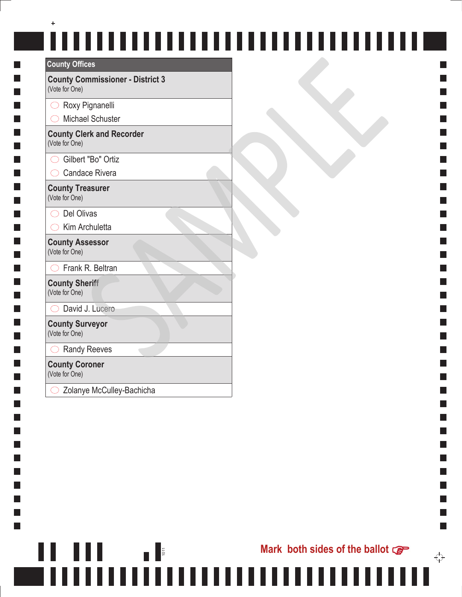| <b>County Offices</b>                                     |  |
|-----------------------------------------------------------|--|
| <b>County Commissioner - District 3</b><br>(Vote for One) |  |
| Roxy Pignanelli                                           |  |
| <b>Michael Schuster</b>                                   |  |
| <b>County Clerk and Recorder</b><br>(Vote for One)        |  |
| Gilbert "Bo" Ortiz                                        |  |
| <b>Candace Rivera</b>                                     |  |
| <b>County Treasurer</b><br>(Vote for One)                 |  |
| $\supset$ Del Olivas                                      |  |
| Kim Archuletta                                            |  |
| <b>County Assessor</b><br>(Vote for One)                  |  |
| Frank R. Beltran                                          |  |
| <b>County Sheriff</b><br>(Vote for One)                   |  |
| David J. Lucero                                           |  |
| <b>County Surveyor</b><br>(Vote for One)                  |  |
| <b>Randy Reeves</b>                                       |  |
| <b>County Coroner</b><br>(Vote for One)                   |  |

П

П

П  $\Box$ ×. П  $\Box$  $\mathbf{I}$ 

 $\Box$ I.

П **Tale** l a

I.

I. l a  $\mathbf{I}$  $\Box$ I. П  $\Box$ 

I.

 $\Box$ I.  $\Box$  Zolanye McCulley-Bachicha

Ш

1011<br>1011

,,,,,,,,,,,,,,,,,,,,,,,,,,,,,,

║

٦

**Contract**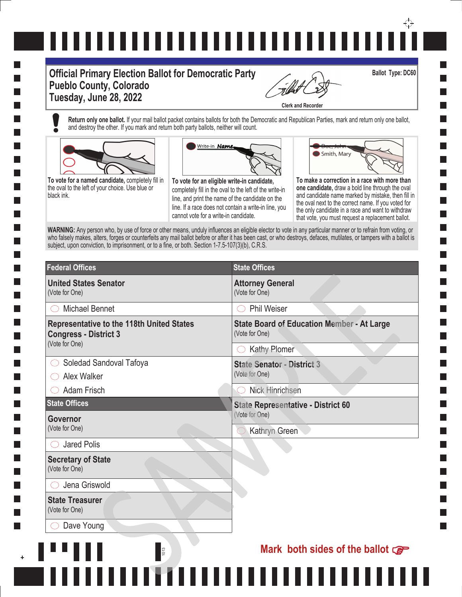# 

#### **Official Primary Election Ballot for Democratic Party Pueblo County, Colorado Tuesday, June 28, 2022**

**Clerk and Recorder**

**Return only one ballot.** If your mail ballot packet contains ballots for both the Democratic and Republican Parties, mark and return only one ballot, and destroy the other. If you mark and return both party ballots, neither will count.







**To vote for an eligible write-in candidate,**  completely fill in the oval to the left of the write-in line, and print the name of the candidate on the line. If a race does not contain a write-in line, you cannot vote for a write-in candidate.

**To make a correction in a race with more than one candidate,** draw a bold line through the oval and candidate name marked by mistake, then fill in the oval next to the correct name. If you voted for the only candidate in a race and want to withdraw

Smith, Mary

that vote, you must request a replacement ballot.

**Ballot Type: DC60**

WARNING: Any person who, by use of force or other means, unduly influences an eligible elector to vote in any particular manner or to refrain from voting, or who falsely makes, alters, forges or counterfeits any mail ballot before or after it has been cast, or who destroys, defaces, mutilates, or tampers with a ballot is subject, upon conviction, to imprisonment, or to a fine, or both. Section 1-7.5-107(3)(b), C.R.S.

| <b>Federal Offices</b>                                                                             | <b>State Offices</b>                                                |
|----------------------------------------------------------------------------------------------------|---------------------------------------------------------------------|
| <b>United States Senator</b><br>(Vote for One)                                                     | <b>Attorney General</b><br>(Vote for One)                           |
| Michael Bennet                                                                                     | <b>Phil Weiser</b><br>$( \ )$                                       |
| <b>Representative to the 118th United States</b><br><b>Congress - District 3</b><br>(Vote for One) | <b>State Board of Education Member - At Large</b><br>(Vote for One) |
|                                                                                                    | $\bigcirc$ Kathy Plomer                                             |
| Soledad Sandoval Tafoya                                                                            | <b>State Senator - District 3</b>                                   |
| Alex Walker                                                                                        | (Vote for One)                                                      |
| <b>Adam Frisch</b>                                                                                 | <b>Nick Hinrichsen</b>                                              |
| <b>State Offices</b>                                                                               | <b>State Representative - District 60</b><br>(Vote for One)         |
| Governor<br>(Vote for One)                                                                         |                                                                     |
|                                                                                                    | Kathryn Green                                                       |
| <b>Jared Polis</b>                                                                                 |                                                                     |
| <b>Secretary of State</b><br>(Vote for One)                                                        |                                                                     |
| Jena Griswold                                                                                      |                                                                     |
| <b>State Treasurer</b><br>(Vote for One)                                                           |                                                                     |
| Dave Young                                                                                         |                                                                     |
| 1013                                                                                               | Mark both sides of the ballot $\mathbb{G}^{\mathbb{P}}$             |

 $\overline{\phantom{a}}$ 

**The State**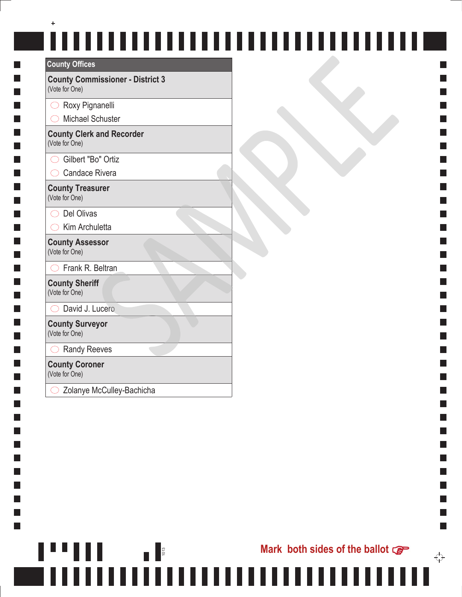### $\ddot{}$ **County Offices**

| <b>COUNTY OTHCES</b>                                      |
|-----------------------------------------------------------|
| <b>County Commissioner - District 3</b><br>(Vote for One) |
| Roxy Pignanelli                                           |
| <b>Michael Schuster</b>                                   |
| <b>County Clerk and Recorder</b><br>(Vote for One)        |
| Gilbert "Bo" Ortiz                                        |
| $\supset$ Candace Rivera                                  |
| <b>County Treasurer</b><br>(Vote for One)                 |
| Del Olivas                                                |
| Kim Archuletta                                            |
| <b>County Assessor</b><br>(Vote for One)                  |
| Frank R. Beltran                                          |
| <b>County Sheriff</b><br>(Vote for One)                   |
| David J. Lucero                                           |
| <b>County Surveyor</b><br>(Vote for One)                  |
| <b>Randy Reeves</b>                                       |
| <b>County Coroner</b>                                     |

(Vote for One)

П

П I.

П  $\Box$ ×. П  $\Box$ П

 $\Box$ I. **I** П **Tale Tale** 

I.

H П  $\Box$ П  $\mathbf{I}$ П **Tale** 

I.

 $\Box$ I.  $\Box$  Zolanye McCulley-Bachicha

1013

 $\overleftrightarrow{\cdot}$ 

 $\mathcal{L}_{\mathcal{A}}$ 

**Contract**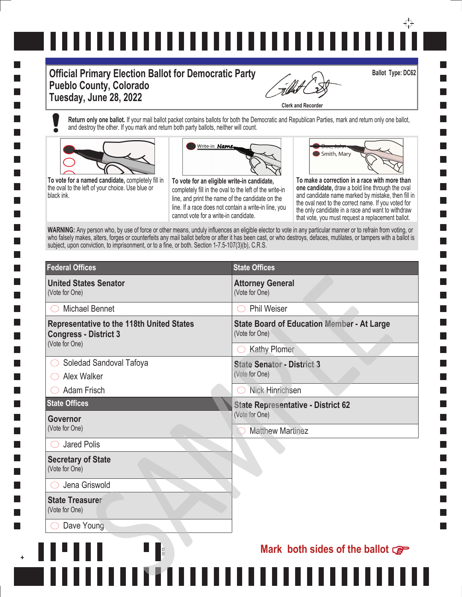# ,,,,,,,,,,,,,,,,,,,,,,,,,,,,,,,

#### **Official Primary Election Ballot for Democratic Party Pueblo County, Colorado Tuesday, June 28, 2022**

**Clerk and Recorder**

**Return only one ballot.** If your mail ballot packet contains ballots for both the Democratic and Republican Parties, mark and return only one ballot, and destroy the other. If you mark and return both party ballots, neither will count.



**The State** 

**To vote for a named candidate,** completely fill in the oval to the left of your choice. Use blue or black ink.



**To vote for an eligible write-in candidate,**  completely fill in the oval to the left of the write-in line, and print the name of the candidate on the line. If a race does not contain a write-in line, you cannot vote for a write-in candidate.



Smith, Mary

**Ballot Type: DC62**

and candidate name marked by mistake, then fill in the oval next to the correct name. If you voted for the only candidate in a race and want to withdraw that vote, you must request a replacement ballot.

WARNING: Any person who, by use of force or other means, unduly influences an eligible elector to vote in any particular manner or to refrain from voting, or who falsely makes, alters, forges or counterfeits any mail ballot before or after it has been cast, or who destroys, defaces, mutilates, or tampers with a ballot is subject, upon conviction, to imprisonment, or to a fine, or both. Section 1-7.5-107(3)(b), C.R.S.

| <b>Federal Offices</b>                                                                             | <b>State Offices</b>                                                |
|----------------------------------------------------------------------------------------------------|---------------------------------------------------------------------|
| <b>United States Senator</b><br>(Vote for One)                                                     | <b>Attorney General</b><br>(Vote for One)                           |
| <b>Michael Bennet</b>                                                                              | <b>Phil Weiser</b><br>$\left( \begin{array}{c} \end{array} \right)$ |
| <b>Representative to the 118th United States</b><br><b>Congress - District 3</b><br>(Vote for One) | <b>State Board of Education Member - At Large</b><br>(Vote for One) |
|                                                                                                    | <b>Kathy Plomer</b>                                                 |
| Soledad Sandoval Tafoya                                                                            | <b>State Senator - District 3</b>                                   |
| Alex Walker                                                                                        | (Vote for One)                                                      |
| <b>Adam Frisch</b>                                                                                 | Nick Hinrichsen                                                     |
| <b>State Offices</b>                                                                               | <b>State Representative - District 62</b><br>(Vote for One)         |
| Governor<br>(Vote for One)                                                                         |                                                                     |
|                                                                                                    | <b>Matthew Martinez</b>                                             |
| <b>Jared Polis</b>                                                                                 |                                                                     |
| <b>Secretary of State</b><br>(Vote for One)                                                        |                                                                     |
| Jena Griswold                                                                                      |                                                                     |
| <b>State Treasurer</b><br>(Vote for One)                                                           |                                                                     |
| Dave Young                                                                                         |                                                                     |
| 1015                                                                                               | Mark both sides of the ballot $\mathcal{F}$                         |

|||||||<del>||</del>||||||||||||||||||

10 **101**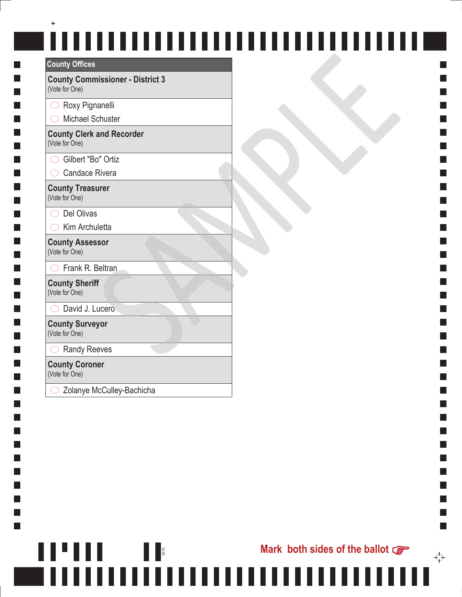### $\ddot{}$ **County Offices**

| <b>COUNTY OTHCES</b>                                      |
|-----------------------------------------------------------|
| <b>County Commissioner - District 3</b><br>(Vote for One) |
| Roxy Pignanelli                                           |
| <b>Michael Schuster</b>                                   |
| <b>County Clerk and Recorder</b><br>(Vote for One)        |
| ◯ Gilbert "Bo" Ortiz                                      |
| <b>Candace Rivera</b>                                     |
| <b>County Treasurer</b><br>(Vote for One)                 |
| Del Olivas                                                |
| Kim Archuletta                                            |
| <b>County Assessor</b><br>(Vote for One)                  |
| Frank R. Beltran                                          |
| <b>County Sheriff</b><br>(Vote for One)                   |
| David J. Lucero                                           |
| <b>County Surveyor</b><br>(Vote for One)                  |
| <b>Randy Reeves</b>                                       |
| <b>County Coroner</b>                                     |

(Vote for One)

П

П I.

 $\Box$  $\Box$ ×. П  $\Box$  $\mathbf{I}$ 

 $\Box$ I.

П **Tale College** 

I.

I.  $\Box$  $\mathbf{I}$  $\Box$ I. П **Tale** 

I.

 $\Box$ I.  $\Box$  Zolanye McCulley-Bachicha

Ш

1015

,,,,,,,,,,,,,,,,,,,,,,,,,,,,,,,

║

**Contract**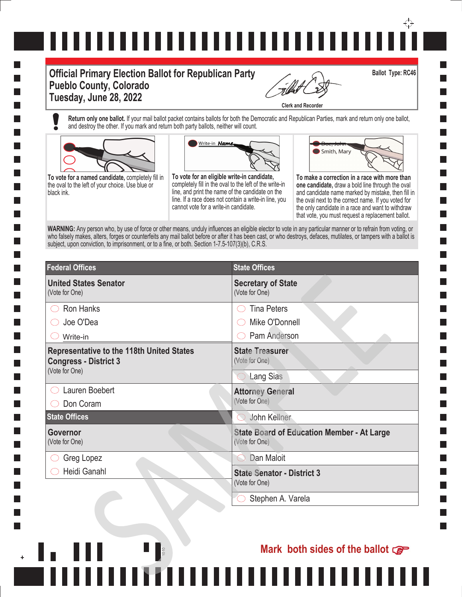# ↔ ,,,,,,,,,,,,,,,,,,,,,,,,,,,,,,

#### **Official Primary Election Ballot for Republican Party Pueblo County, Colorado Tuesday, June 28, 2022**

**Clerk and Recorder**

**Return only one ballot.** If your mail ballot packet contains ballots for both the Democratic and Republican Parties, mark and return only one ballot, and destroy the other. If you mark and return both party ballots, neither will count.



**To vote for a named candidate,** completely fill in the oval to the left of your choice. Use blue or black ink.



**To vote for an eligible write-in candidate,**  completely fill in the oval to the left of the write-in line, and print the name of the candidate on the line. If a race does not contain a write-in line, you cannot vote for a write-in candidate.



**Ballot Type: RC46**

**To make a correction in a race with more than one candidate,** draw a bold line through the oval and candidate name marked by mistake, then fill in the oval next to the correct name. If you voted for the only candidate in a race and want to withdraw that vote, you must request a replacement ballot.

WARNING: Any person who, by use of force or other means, unduly influences an eligible elector to vote in any particular manner or to refrain from voting, or who falsely makes, alters, forges or counterfeits any mail ballot before or after it has been cast, or who destroys, defaces, mutilates, or tampers with a ballot is subject, upon conviction, to imprisonment, or to a fine, or both. Section 1-7.5-107(3)(b), C.R.S.

| <b>Federal Offices</b>                                                                             | <b>State Offices</b>                                                |
|----------------------------------------------------------------------------------------------------|---------------------------------------------------------------------|
| <b>United States Senator</b><br>(Vote for One)                                                     | <b>Secretary of State</b><br>(Vote for One)                         |
| Ron Hanks                                                                                          | <b>Tina Peters</b>                                                  |
| Joe O'Dea                                                                                          | Mike O'Donnell                                                      |
| Write-in                                                                                           | Pam Anderson                                                        |
| <b>Representative to the 118th United States</b><br><b>Congress - District 3</b><br>(Vote for One) | <b>State Treasurer</b><br>(Vote for One)                            |
|                                                                                                    | <b>Lang Sias</b>                                                    |
| Lauren Boebert                                                                                     | <b>Attorney General</b>                                             |
| Don Coram                                                                                          | (Vote for One)                                                      |
| <b>State Offices</b>                                                                               | John Kellner<br>$\bigcirc$                                          |
| Governor<br>(Vote for One)                                                                         | <b>State Board of Education Member - At Large</b><br>(Vote for One) |
| Greg Lopez                                                                                         | Dan Maloit                                                          |
| Heidi Ganahl                                                                                       | <b>State Senator - District 3</b><br>(Vote for One)                 |
|                                                                                                    | Stephen A. Varela                                                   |

1010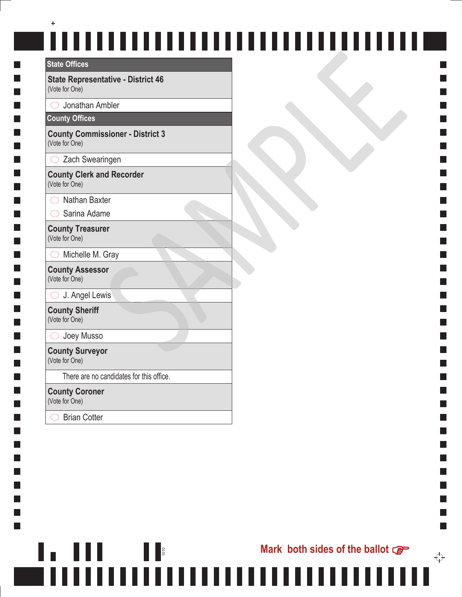#### **State Offices**

**Tale** 

**The State** 

I.

 $\mathcal{L}_{\mathcal{A}}$ 

×. I. **The State** 

I.  $\Box$ 

 $\mathcal{L}_{\mathcal{A}}$ I.

I.  $\Box$ 

I.

 $\Box$ 

**State Representative - District 46** (Vote for One)

 $\bigcirc$  Jonathan Ambler

#### **County Offices**

**County Commissioner - District 3** (Vote for One)

 $\bigcirc$  Zach Swearingen

**County Clerk and Recorder** (Vote for One)

 $\bigcirc$  Nathan Baxter

 $\bigcirc$  Sarina Adame

**County Treasurer** (Vote for One)

 $\bigcirc$  Michelle M. Gray

**County Assessor** (Vote for One)

 $\bigcirc$  J. Angel Lewis

**County Sheriff** (Vote for One)

O Joey Musso

**County Surveyor** (Vote for One)

There are no candidates for this office.

1010<br>1010<br>1010

**County Coroner** (Vote for One)

◯ Brian Cotter

 $\mathcal{L}_{\mathcal{A}}$ 

↔

٦

 $\mathcal{L}_{\mathcal{A}}$ 

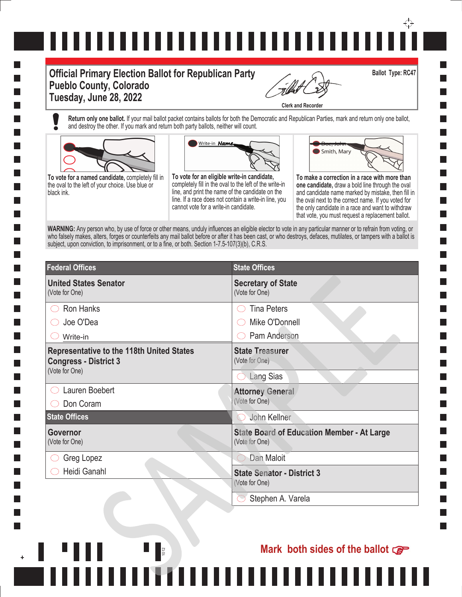# ↔

#### **Official Primary Election Ballot for Republican Party Pueblo County, Colorado Tuesday, June 28, 2022**

**Clerk and Recorder**

**Return only one ballot.** If your mail ballot packet contains ballots for both the Democratic and Republican Parties, mark and return only one ballot, and destroy the other. If you mark and return both party ballots, neither will count.



**To vote for a named candidate,** completely fill in the oval to the left of your choice. Use blue or black ink.



**To vote for an eligible write-in candidate,**  completely fill in the oval to the left of the write-in line, and print the name of the candidate on the line. If a race does not contain a write-in line, you cannot vote for a write-in candidate.



**Ballot Type: RC47**

**To make a correction in a race with more than one candidate,** draw a bold line through the oval and candidate name marked by mistake, then fill in the oval next to the correct name. If you voted for the only candidate in a race and want to withdraw that vote, you must request a replacement ballot.

WARNING: Any person who, by use of force or other means, unduly influences an eligible elector to vote in any particular manner or to refrain from voting, or who falsely makes, alters, forges or counterfeits any mail ballot before or after it has been cast, or who destroys, defaces, mutilates, or tampers with a ballot is subject, upon conviction, to imprisonment, or to a fine, or both. Section 1-7.5-107(3)(b), C.R.S.

| <b>Federal Offices</b>                                                                             | <b>State Offices</b>                                                |
|----------------------------------------------------------------------------------------------------|---------------------------------------------------------------------|
| <b>United States Senator</b><br>(Vote for One)                                                     | <b>Secretary of State</b><br>(Vote for One)                         |
| <b>Ron Hanks</b>                                                                                   | <b>Tina Peters</b>                                                  |
| Joe O'Dea                                                                                          | Mike O'Donnell                                                      |
| Write-in                                                                                           | Pam Anderson                                                        |
| <b>Representative to the 118th United States</b><br><b>Congress - District 3</b><br>(Vote for One) | <b>State Treasurer</b><br>(Vote for One)                            |
|                                                                                                    | <b>Lang Sias</b>                                                    |
| Lauren Boebert                                                                                     | <b>Attorney General</b>                                             |
| Don Coram                                                                                          | (Vote for One)                                                      |
| <b>State Offices</b>                                                                               | John Kellner                                                        |
| Governor<br>(Vote for One)                                                                         | <b>State Board of Education Member - At Large</b><br>(Vote for One) |
| Greg Lopez                                                                                         | Dan Maloit                                                          |
| Heidi Ganahl                                                                                       | <b>State Senator - District 3</b><br>(Vote for One)                 |
|                                                                                                    | Stephen A. Varela                                                   |

1012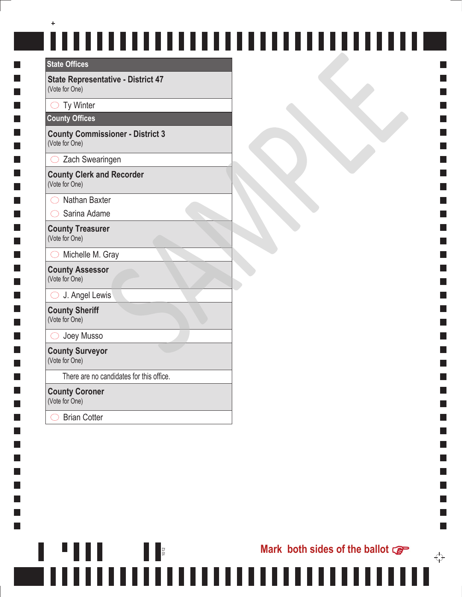#### **State Offices**

**Tale** 

**The State** 

I.

×. I. Т,

I.  $\Box$ 

 $\mathcal{L}_{\mathcal{A}}$ I.

I.  $\Box$ 

 $\Box$ 

**State Representative - District 47** (Vote for One)

 $\bigcirc$  Ty Winter

**County Offices**

**County Commissioner - District 3** (Vote for One)

 $\bigcirc$  Zach Swearingen

**County Clerk and Recorder** (Vote for One)

 $\bigcirc$  Nathan Baxter

 $\bigcirc$  Sarina Adame

**County Treasurer** (Vote for One)

 $\bigcirc$  Michelle M. Gray

**County Assessor** (Vote for One)

 $\bigcirc$  J. Angel Lewis

**County Sheriff** (Vote for One)

O Joey Musso

**County Surveyor** (Vote for One)

There are no candidates for this office.

1012

Ш

**County Coroner** (Vote for One)

◯ Brian Cotter

٦

 $\mathcal{L}_{\mathcal{A}}$ 

 $\mathcal{L}_{\mathcal{A}}$ 

 $\mathcal{L}_{\mathcal{A}}$ 

**Mark both sides of the ballot**  $\mathbb{G}$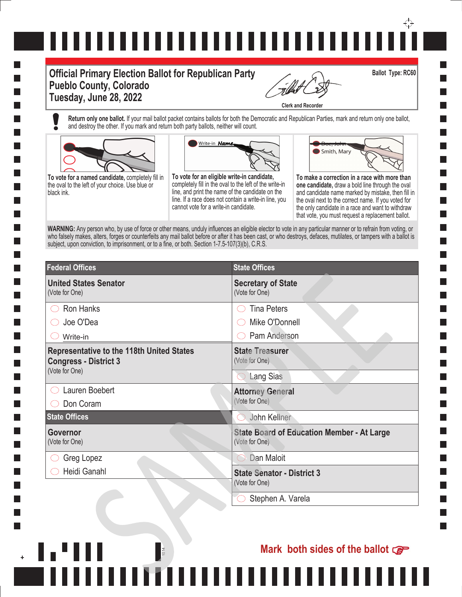# ↔

#### **Official Primary Election Ballot for Republican Party Pueblo County, Colorado Tuesday, June 28, 2022**

**Clerk and Recorder**

**Return only one ballot.** If your mail ballot packet contains ballots for both the Democratic and Republican Parties, mark and return only one ballot, and destroy the other. If you mark and return both party ballots, neither will count.



**To vote for a named candidate,** completely fill in the oval to the left of your choice. Use blue or black ink.



**To vote for an eligible write-in candidate,**  completely fill in the oval to the left of the write-in line, and print the name of the candidate on the line. If a race does not contain a write-in line, you cannot vote for a write-in candidate.



**Ballot Type: RC60**

**To make a correction in a race with more than one candidate,** draw a bold line through the oval and candidate name marked by mistake, then fill in the oval next to the correct name. If you voted for the only candidate in a race and want to withdraw that vote, you must request a replacement ballot.

WARNING: Any person who, by use of force or other means, unduly influences an eligible elector to vote in any particular manner or to refrain from voting, or who falsely makes, alters, forges or counterfeits any mail ballot before or after it has been cast, or who destroys, defaces, mutilates, or tampers with a ballot is subject, upon conviction, to imprisonment, or to a fine, or both. Section 1-7.5-107(3)(b), C.R.S.

| <b>Federal Offices</b>                                                                             | <b>State Offices</b>                                                |
|----------------------------------------------------------------------------------------------------|---------------------------------------------------------------------|
| <b>United States Senator</b><br>(Vote for One)                                                     | <b>Secretary of State</b><br>(Vote for One)                         |
| Ron Hanks                                                                                          | <b>Tina Peters</b>                                                  |
| Joe O'Dea                                                                                          | Mike O'Donnell                                                      |
| Write-in                                                                                           | Pam Anderson                                                        |
| <b>Representative to the 118th United States</b><br><b>Congress - District 3</b><br>(Vote for One) | <b>State Treasurer</b><br>(Vote for One)                            |
|                                                                                                    | <b>Lang Sias</b>                                                    |
| Lauren Boebert                                                                                     | <b>Attorney General</b>                                             |
| Don Coram                                                                                          | (Vote for One)                                                      |
| <b>State Offices</b>                                                                               | John Kellner<br>$\left(\begin{array}{c} \end{array}\right)$         |
| Governor<br>(Vote for One)                                                                         | <b>State Board of Education Member - At Large</b><br>(Vote for One) |
| Greg Lopez                                                                                         | Dan Maloit<br>88                                                    |
| Heidi Ganahl                                                                                       | <b>State Senator - District 3</b><br>(Vote for One)                 |
|                                                                                                    | Stephen A. Varela                                                   |

1014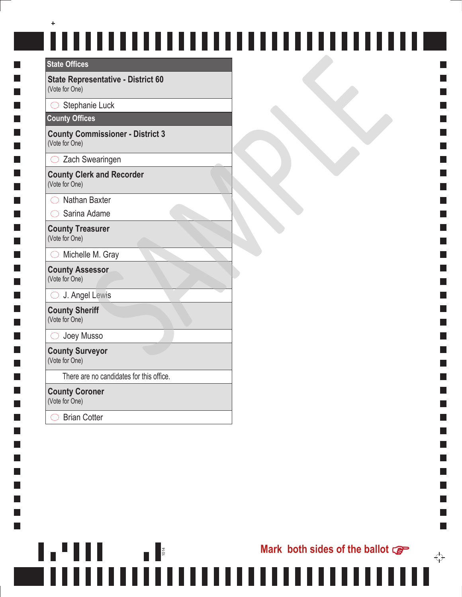## $\ddot{}$ ,,,,,,,,,,,,,,,,,,,,,,,,,,,,,,,,,,

**Mark both sides of the ballot**

**Contract** 

٦

 $\mathcal{L}_{\mathcal{A}}$ 

 $\mathcal{L}_{\mathcal{A}}$ 

**The State** 

↔

#### **State Offices**

**Tale** 

**The State** 

I.

 $\mathcal{L}_{\mathcal{A}}$ 

×. I. Т,

I.  $\Box$ 

 $\mathcal{L}_{\mathcal{A}}$ I.

I.  $\Box$ 

I.

 $\Box$ 

**State Representative - District 60** (Vote for One)

 $\bigcirc$  Stephanie Luck

#### **County Offices**

**County Commissioner - District 3** (Vote for One)

 $\bigcirc$  Zach Swearingen

**County Clerk and Recorder** (Vote for One)

 $\bigcirc$  Nathan Baxter

 $\bigcirc$  Sarina Adame

**County Treasurer** (Vote for One)

 $\bigcirc$  Michelle M. Gray

**County Assessor** (Vote for One)

 $\bigcirc$  J. Angel Lewis

**County Sheriff** (Vote for One)

O Joey Musso

**County Surveyor** (Vote for One)

There are no candidates for this office.

1014

---------------------------------

H.

**County Coroner** (Vote for One)

◯ Brian Cotter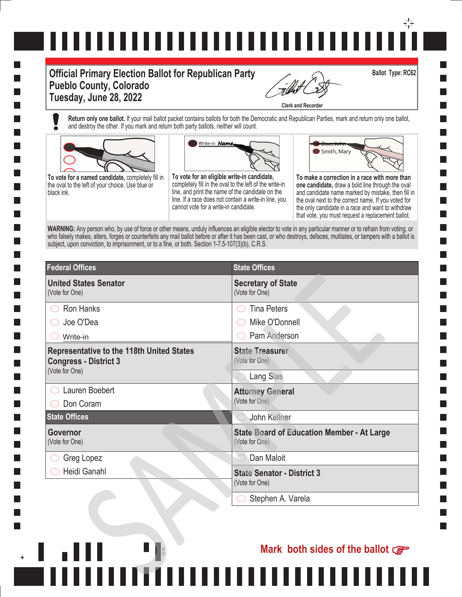# ↔ ,,,,,,,,,,,,,,,,,,,,,,,,,,,,,,

#### **Official Primary Election Ballot for Republican Party Pueblo County, Colorado Tuesday, June 28, 2022**

**Clerk and Recorder**

**Return only one ballot.** If your mail ballot packet contains ballots for both the Democratic and Republican Parties, mark and return only one ballot, and destroy the other. If you mark and return both party ballots, neither will count.



**To vote for a named candidate,** completely fill in the oval to the left of your choice. Use blue or black ink.



**To vote for an eligible write-in candidate,**  completely fill in the oval to the left of the write-in line, and print the name of the candidate on the line. If a race does not contain a write-in line, you cannot vote for a write-in candidate.



**Ballot Type: RC62**

**To make a correction in a race with more than one candidate,** draw a bold line through the oval and candidate name marked by mistake, then fill in the oval next to the correct name. If you voted for the only candidate in a race and want to withdraw that vote, you must request a replacement ballot.

WARNING: Any person who, by use of force or other means, unduly influences an eligible elector to vote in any particular manner or to refrain from voting, or who falsely makes, alters, forges or counterfeits any mail ballot before or after it has been cast, or who destroys, defaces, mutilates, or tampers with a ballot is subject, upon conviction, to imprisonment, or to a fine, or both. Section 1-7.5-107(3)(b), C.R.S.

| <b>Federal Offices</b>                                                                             | <b>State Offices</b>                                                |
|----------------------------------------------------------------------------------------------------|---------------------------------------------------------------------|
| <b>United States Senator</b><br>(Vote for One)                                                     | <b>Secretary of State</b><br>(Vote for One)                         |
| Ron Hanks                                                                                          | <b>Tina Peters</b>                                                  |
| Joe O'Dea                                                                                          | Mike O'Donnell                                                      |
| Write-in                                                                                           | Pam Anderson                                                        |
| <b>Representative to the 118th United States</b><br><b>Congress - District 3</b><br>(Vote for One) | <b>State Treasurer</b><br>(Vote for One)                            |
|                                                                                                    | <b>Lang Sias</b>                                                    |
| Lauren Boebert                                                                                     | <b>Attorney General</b>                                             |
| Don Coram                                                                                          | (Vote for One)                                                      |
| <b>State Offices</b>                                                                               | John Kellner                                                        |
| Governor<br>(Vote for One)                                                                         | <b>State Board of Education Member - At Large</b><br>(Vote for One) |
| Greg Lopez                                                                                         | Dan Maloit                                                          |
| Heidi Ganahl                                                                                       | <b>State Senator - District 3</b><br>(Vote for One)                 |
|                                                                                                    | Stephen A. Varela                                                   |

1016